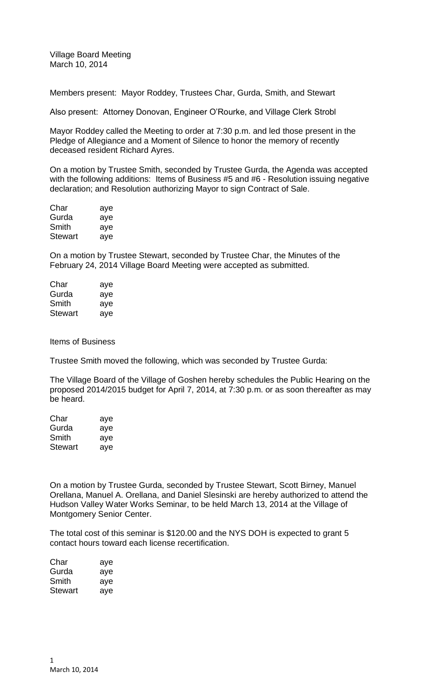Village Board Meeting March 10, 2014

Members present: Mayor Roddey, Trustees Char, Gurda, Smith, and Stewart

Also present: Attorney Donovan, Engineer O'Rourke, and Village Clerk Strobl

Mayor Roddey called the Meeting to order at 7:30 p.m. and led those present in the Pledge of Allegiance and a Moment of Silence to honor the memory of recently deceased resident Richard Ayres.

On a motion by Trustee Smith, seconded by Trustee Gurda, the Agenda was accepted with the following additions: Items of Business #5 and #6 - Resolution issuing negative declaration; and Resolution authorizing Mayor to sign Contract of Sale.

| Char    | aye |
|---------|-----|
| Gurda   | aye |
| Smith   | aye |
| Stewart | aye |

On a motion by Trustee Stewart, seconded by Trustee Char, the Minutes of the February 24, 2014 Village Board Meeting were accepted as submitted.

| Char           | aye |
|----------------|-----|
| Gurda          | aye |
| Smith          | aye |
| <b>Stewart</b> | aye |

Items of Business

Trustee Smith moved the following, which was seconded by Trustee Gurda:

The Village Board of the Village of Goshen hereby schedules the Public Hearing on the proposed 2014/2015 budget for April 7, 2014, at 7:30 p.m. or as soon thereafter as may be heard.

| Char    | aye |
|---------|-----|
| Gurda   | aye |
| Smith   | aye |
| Stewart | aye |

On a motion by Trustee Gurda, seconded by Trustee Stewart, Scott Birney, Manuel Orellana, Manuel A. Orellana, and Daniel Slesinski are hereby authorized to attend the Hudson Valley Water Works Seminar, to be held March 13, 2014 at the Village of Montgomery Senior Center.

The total cost of this seminar is \$120.00 and the NYS DOH is expected to grant 5 contact hours toward each license recertification.

| Char    | aye |
|---------|-----|
| Gurda   | aye |
| Smith   | aye |
| Stewart | aye |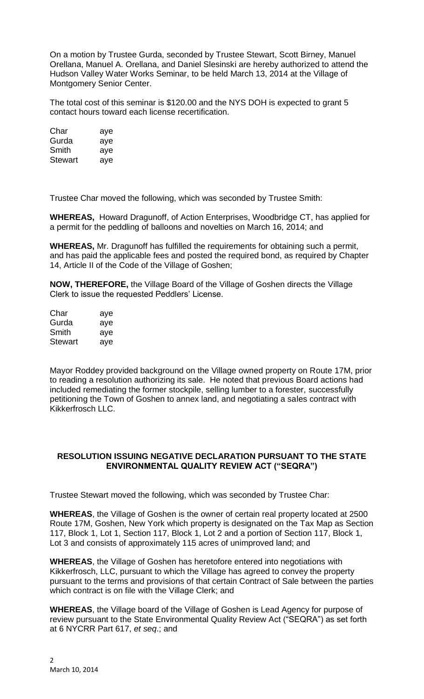On a motion by Trustee Gurda, seconded by Trustee Stewart, Scott Birney, Manuel Orellana, Manuel A. Orellana, and Daniel Slesinski are hereby authorized to attend the Hudson Valley Water Works Seminar, to be held March 13, 2014 at the Village of Montgomery Senior Center.

The total cost of this seminar is \$120.00 and the NYS DOH is expected to grant 5 contact hours toward each license recertification.

| Char    | aye |
|---------|-----|
| Gurda   | aye |
| Smith   | aye |
| Stewart | aye |

Trustee Char moved the following, which was seconded by Trustee Smith:

**WHEREAS,** Howard Dragunoff, of Action Enterprises, Woodbridge CT, has applied for a permit for the peddling of balloons and novelties on March 16, 2014; and

**WHEREAS,** Mr. Dragunoff has fulfilled the requirements for obtaining such a permit, and has paid the applicable fees and posted the required bond, as required by Chapter 14, Article II of the Code of the Village of Goshen;

**NOW, THEREFORE,** the Village Board of the Village of Goshen directs the Village Clerk to issue the requested Peddlers' License.

| Char    | aye |
|---------|-----|
| Gurda   | aye |
| Smith   | aye |
| Stewart | aye |

Mayor Roddey provided background on the Village owned property on Route 17M, prior to reading a resolution authorizing its sale. He noted that previous Board actions had included remediating the former stockpile, selling lumber to a forester, successfully petitioning the Town of Goshen to annex land, and negotiating a sales contract with Kikkerfrosch LLC.

## **RESOLUTION ISSUING NEGATIVE DECLARATION PURSUANT TO THE STATE ENVIRONMENTAL QUALITY REVIEW ACT ("SEQRA")**

Trustee Stewart moved the following, which was seconded by Trustee Char:

**WHEREAS**, the Village of Goshen is the owner of certain real property located at 2500 Route 17M, Goshen, New York which property is designated on the Tax Map as Section 117, Block 1, Lot 1, Section 117, Block 1, Lot 2 and a portion of Section 117, Block 1, Lot 3 and consists of approximately 115 acres of unimproved land; and

**WHEREAS**, the Village of Goshen has heretofore entered into negotiations with Kikkerfrosch, LLC, pursuant to which the Village has agreed to convey the property pursuant to the terms and provisions of that certain Contract of Sale between the parties which contract is on file with the Village Clerk; and

**WHEREAS**, the Village board of the Village of Goshen is Lead Agency for purpose of review pursuant to the State Environmental Quality Review Act ("SEQRA") as set forth at 6 NYCRR Part 617, *et seq*.; and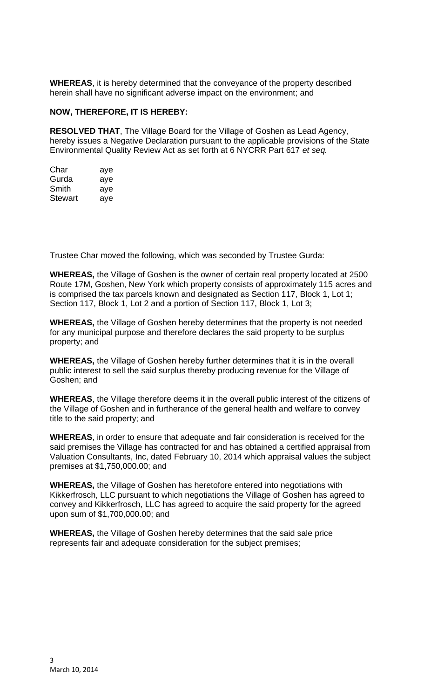**WHEREAS**, it is hereby determined that the conveyance of the property described herein shall have no significant adverse impact on the environment; and

## **NOW, THEREFORE, IT IS HEREBY:**

**RESOLVED THAT**, The Village Board for the Village of Goshen as Lead Agency, hereby issues a Negative Declaration pursuant to the applicable provisions of the State Environmental Quality Review Act as set forth at 6 NYCRR Part 617 *et seq.*

| Char    | aye |
|---------|-----|
| Gurda   | aye |
| Smith   | aye |
| Stewart | ave |

Trustee Char moved the following, which was seconded by Trustee Gurda:

**WHEREAS,** the Village of Goshen is the owner of certain real property located at 2500 Route 17M, Goshen, New York which property consists of approximately 115 acres and is comprised the tax parcels known and designated as Section 117, Block 1, Lot 1; Section 117, Block 1, Lot 2 and a portion of Section 117, Block 1, Lot 3;

**WHEREAS,** the Village of Goshen hereby determines that the property is not needed for any municipal purpose and therefore declares the said property to be surplus property; and

**WHEREAS,** the Village of Goshen hereby further determines that it is in the overall public interest to sell the said surplus thereby producing revenue for the Village of Goshen; and

**WHEREAS**, the Village therefore deems it in the overall public interest of the citizens of the Village of Goshen and in furtherance of the general health and welfare to convey title to the said property; and

**WHEREAS**, in order to ensure that adequate and fair consideration is received for the said premises the Village has contracted for and has obtained a certified appraisal from Valuation Consultants, Inc, dated February 10, 2014 which appraisal values the subject premises at \$1,750,000.00; and

**WHEREAS,** the Village of Goshen has heretofore entered into negotiations with Kikkerfrosch, LLC pursuant to which negotiations the Village of Goshen has agreed to convey and Kikkerfrosch, LLC has agreed to acquire the said property for the agreed upon sum of \$1,700,000.00; and

**WHEREAS,** the Village of Goshen hereby determines that the said sale price represents fair and adequate consideration for the subject premises;